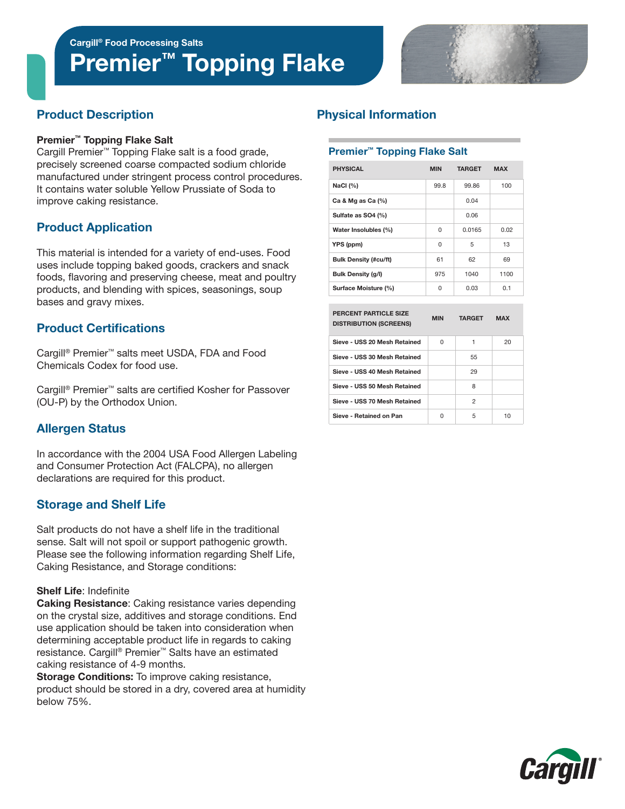# Premier<sup>™</sup> Topping Flake



# Product Description

#### Premier™ Topping Flake Salt

Cargill Premier™ Topping Flake salt is a food grade, precisely screened coarse compacted sodium chloride manufactured under stringent process control procedures. It contains water soluble Yellow Prussiate of Soda to improve caking resistance.

# Product Application

This material is intended for a variety of end-uses. Food uses include topping baked goods, crackers and snack foods, flavoring and preserving cheese, meat and poultry products, and blending with spices, seasonings, soup bases and gravy mixes.

# Product Certifications

Cargill® Premier™ salts meet USDA, FDA and Food Chemicals Codex for food use.

Cargill® Premier™ salts are certified Kosher for Passover (OU-P) by the Orthodox Union.

# Allergen Status

In accordance with the 2004 USA Food Allergen Labeling and Consumer Protection Act (FALCPA), no allergen declarations are required for this product.

# Storage and Shelf Life

Salt products do not have a shelf life in the traditional sense. Salt will not spoil or support pathogenic growth. Please see the following information regarding Shelf Life, Caking Resistance, and Storage conditions:

#### Shelf Life: Indefinite

Caking Resistance: Caking resistance varies depending on the crystal size, additives and storage conditions. End use application should be taken into consideration when determining acceptable product life in regards to caking resistance. Cargill® Premier™ Salts have an estimated caking resistance of 4-9 months.

**Storage Conditions:** To improve caking resistance, product should be stored in a dry, covered area at humidity below 75%.

# Physical Information

#### Premier™ Topping Flake Salt

| <b>PHYSICAL</b>              | <b>MIN</b> | <b>TARGET</b> | <b>MAX</b> |  |
|------------------------------|------------|---------------|------------|--|
| NaCl $(%)$                   | 99.8       | 99.86         | 100        |  |
| Ca & Mg as Ca $(%)$          |            | 0.04          |            |  |
| Sulfate as SO4 (%)           |            | 0.06          |            |  |
| Water Insolubles (%)         | $\Omega$   | 0.0165        | 0.02       |  |
| YPS (ppm)                    | 0          | 5             | 13         |  |
| <b>Bulk Density (#cu/ft)</b> | 61         | 62            | 69         |  |
| <b>Bulk Density (g/l)</b>    | 975        | 1040          | 1100       |  |
| Surface Moisture (%)         | 0          | 0.03          | 0.1        |  |

| <b>PERCENT PARTICLE SIZE</b><br><b>DISTRIBUTION (SCREENS)</b> | <b>MIN</b> | <b>TARGET</b>  | <b>MAX</b> |  |
|---------------------------------------------------------------|------------|----------------|------------|--|
| Sieve - USS 20 Mesh Retained                                  | U          | 1              | 20         |  |
| Sieve - USS 30 Mesh Retained                                  |            | 55             |            |  |
| Sieve - USS 40 Mesh Retained                                  |            | 29             |            |  |
| Sieve - USS 50 Mesh Retained                                  |            | 8              |            |  |
| Sieve - USS 70 Mesh Retained                                  |            | $\overline{2}$ |            |  |
| Sieve - Retained on Pan                                       | U          | 5              | 10         |  |